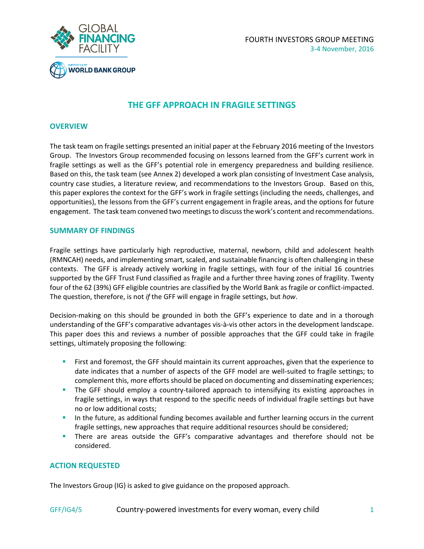



# **THE GFF APPROACH IN FRAGILE SETTINGS**

#### **OVERVIEW**

The task team on fragile settings presented an initial paper at the February 2016 meeting of the Investors Group. The Investors Group recommended focusing on lessons learned from the GFF's current work in fragile settings as well as the GFF's potential role in emergency preparedness and building resilience. Based on this, the task team (see Annex 2) developed a work plan consisting of Investment Case analysis, country case studies, a literature review, and recommendations to the Investors Group. Based on this, this paper explores the context for the GFF's work in fragile settings (including the needs, challenges, and opportunities), the lessons from the GFF's current engagement in fragile areas, and the options for future engagement. The task team convened two meetings to discuss the work's content and recommendations.

#### **SUMMARY OF FINDINGS**

Fragile settings have particularly high reproductive, maternal, newborn, child and adolescent health (RMNCAH) needs, and implementing smart, scaled, and sustainable financing is often challenging in these contexts. The GFF is already actively working in fragile settings, with four of the initial 16 countries supported by the GFF Trust Fund classified as fragile and a further three having zones of fragility. Twenty four of the 62 (39%) GFF eligible countries are classified by the World Bank as fragile or conflict-impacted. The question, therefore, is not *if* the GFF will engage in fragile settings, but *how*.

Decision-making on this should be grounded in both the GFF's experience to date and in a thorough understanding of the GFF's comparative advantages vis-à-vis other actors in the development landscape. This paper does this and reviews a number of possible approaches that the GFF could take in fragile settings, ultimately proposing the following:

- **First and foremost, the GFF should maintain its current approaches, given that the experience to** date indicates that a number of aspects of the GFF model are well-suited to fragile settings; to complement this, more efforts should be placed on documenting and disseminating experiences;
- **The GFF should employ a country-tailored approach to intensifying its existing approaches in** fragile settings, in ways that respond to the specific needs of individual fragile settings but have no or low additional costs;
- In the future, as additional funding becomes available and further learning occurs in the current fragile settings, new approaches that require additional resources should be considered;
- **There are areas outside the GFF's comparative advantages and therefore should not be** considered.

# **ACTION REQUESTED**

The Investors Group (IG) is asked to give guidance on the proposed approach.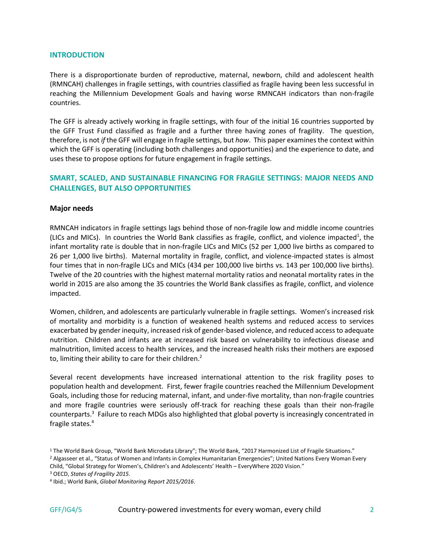# **INTRODUCTION**

There is a disproportionate burden of reproductive, maternal, newborn, child and adolescent health (RMNCAH) challenges in fragile settings, with countries classified as fragile having been less successful in reaching the Millennium Development Goals and having worse RMNCAH indicators than non-fragile countries.

The GFF is already actively working in fragile settings, with four of the initial 16 countries supported by the GFF Trust Fund classified as fragile and a further three having zones of fragility. The question, therefore, is not *if* the GFF will engage in fragile settings, but *how*. This paper examines the context within which the GFF is operating (including both challenges and opportunities) and the experience to date, and uses these to propose options for future engagement in fragile settings.

# **SMART, SCALED, AND SUSTAINABLE FINANCING FOR FRAGILE SETTINGS: MAJOR NEEDS AND CHALLENGES, BUT ALSO OPPORTUNITIES**

#### **Major needs**

RMNCAH indicators in fragile settings lags behind those of non-fragile low and middle income countries (LICs and MICs). In countries the World Bank classifies as fragile, conflict, and violence impacted<sup>1</sup>, the infant mortality rate is double that in non-fragile LICs and MICs (52 per 1,000 live births as compared to 26 per 1,000 live births). Maternal mortality in fragile, conflict, and violence-impacted states is almost four times that in non-fragile LICs and MICs (434 per 100,000 live births vs. 143 per 100,000 live births). Twelve of the 20 countries with the highest maternal mortality ratios and neonatal mortality rates in the world in 2015 are also among the 35 countries the World Bank classifies as fragile, conflict, and violence impacted.

Women, children, and adolescents are particularly vulnerable in fragile settings. Women's increased risk of mortality and morbidity is a function of weakened health systems and reduced access to services exacerbated by gender inequity, increased risk of gender-based violence, and reduced access to adequate nutrition. Children and infants are at increased risk based on vulnerability to infectious disease and malnutrition, limited access to health services, and the increased health risks their mothers are exposed to, limiting their ability to care for their children.<sup>2</sup>

Several recent developments have increased international attention to the risk fragility poses to population health and development. First, fewer fragile countries reached the Millennium Development Goals, including those for reducing maternal, infant, and under-five mortality, than non-fragile countries and more fragile countries were seriously off-track for reaching these goals than their non-fragile counterparts.<sup>3</sup> Failure to reach MDGs also highlighted that global poverty is increasingly concentrated in fragile states.<sup>4</sup>

<sup>1</sup> The World Bank Group, "World Bank Microdata Library"; The World Bank, "2017 Harmonized List of Fragile Situations." <sup>2</sup> Algasseer et al., "Status of Women and Infants in Complex Humanitarian Emergencies"; United Nations Every Woman Every

Child, "Global Strategy for Women's, Children's and Adolescents' Health – EveryWhere 2020 Vision."

<sup>3</sup> OECD, *States of Fragility 2015*.

<sup>4</sup> Ibid.; World Bank, *Global Monitoring Report 2015/2016*.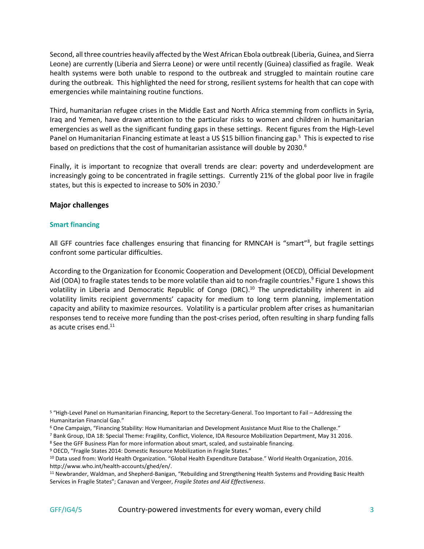Second, all three countries heavily affected by the West African Ebola outbreak (Liberia, Guinea, and Sierra Leone) are currently (Liberia and Sierra Leone) or were until recently (Guinea) classified as fragile. Weak health systems were both unable to respond to the outbreak and struggled to maintain routine care during the outbreak. This highlighted the need for strong, resilient systems for health that can cope with emergencies while maintaining routine functions.

Third, humanitarian refugee crises in the Middle East and North Africa stemming from conflicts in Syria, Iraq and Yemen, have drawn attention to the particular risks to women and children in humanitarian emergencies as well as the significant funding gaps in these settings. Recent figures from the High-Level Panel on Humanitarian Financing estimate at least a US \$15 billion financing gap.<sup>5</sup> This is expected to rise based on predictions that the cost of humanitarian assistance will double by 2030.<sup>6</sup>

Finally, it is important to recognize that overall trends are clear: poverty and underdevelopment are increasingly going to be concentrated in fragile settings. Currently 21% of the global poor live in fragile states, but this is expected to increase to 50% in 2030.<sup>7</sup>

# **Major challenges**

# **Smart financing**

All GFF countries face challenges ensuring that financing for RMNCAH is "smart"<sup>8</sup>, but fragile settings confront some particular difficulties.

According to the Organization for Economic Cooperation and Development (OECD), Official Development Aid (ODA) to fragile states tends to be more volatile than aid to non-fragile countries.<sup>9</sup> Figure 1 shows this volatility in Liberia and Democratic Republic of Congo (DRC).<sup>10</sup> The unpredictability inherent in aid volatility limits recipient governments' capacity for medium to long term planning, implementation capacity and ability to maximize resources. Volatility is a particular problem after crises as humanitarian responses tend to receive more funding than the post-crises period, often resulting in sharp funding falls as acute crises end. $^{11}$ 

<sup>5</sup> "High-Level Panel on Humanitarian Financing, Report to the Secretary-General. Too Important to Fail – Addressing the Humanitarian Financial Gap."

<sup>6</sup> One Campaign, "Financing Stability: How Humanitarian and Development Assistance Must Rise to the Challenge."

<sup>7</sup> Bank Group, IDA 18: Special Theme: Fragility, Conflict, Violence, IDA Resource Mobilization Department, May 31 2016.

<sup>8</sup> See the GFF Business Plan for more information about smart, scaled, and sustainable financing.

<sup>9</sup> OECD, "Fragile States 2014: Domestic Resource Mobilization in Fragile States."

<sup>10</sup> Data used from: World Health Organization. "Global Health Expenditure Database." World Health Organization, 2016. [http://www.who.int/health-accounts/ghed/en/.](http://www.who.int/health-accounts/ghed/en/)

<sup>11</sup> Newbrander, Waldman, and Shepherd-Banigan, "Rebuilding and Strengthening Health Systems and Providing Basic Health Services in Fragile States"; Canavan and Vergeer, *Fragile States and Aid Effectiveness*.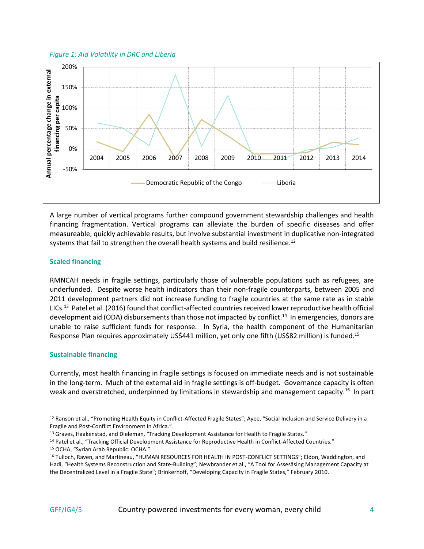#### *Figure 1: Aid Volatility in DRC and Liberia*



A large number of vertical programs further compound government stewardship challenges and health financing fragmentation. Vertical programs can alleviate the burden of specific diseases and offer measureable, quickly achievable results, but involve substantial investment in duplicative non-integrated systems that fail to strengthen the overall health systems and build resilience.<sup>12</sup>

# **Scaled financing**

RMNCAH needs in fragile settings, particularly those of vulnerable populations such as refugees, are underfunded. Despite worse health indicators than their non-fragile counterparts, between 2005 and 2011 development partners did not increase funding to fragile countries at the same rate as in stable LICs.<sup>13</sup> Patel et al. (2016) found that conflict-affected countries received lower reproductive health official development aid (ODA) disbursements than those not impacted by conflict.<sup>14</sup> In emergencies, donors are unable to raise sufficient funds for response. In Syria, the health component of the Humanitarian Response Plan requires approximately US\$441 million, yet only one fifth (US\$82 million) is funded.<sup>15</sup>

#### **Sustainable financing**

Currently, most health financing in fragile settings is focused on immediate needs and is not sustainable in the long-term. Much of the external aid in fragile settings is off-budget. Governance capacity is often weak and overstretched, underpinned by limitations in stewardship and management capacity.<sup>16</sup> In part

<sup>&</sup>lt;sup>12</sup> Ranson et al., "Promoting Health Equity in Conflict-Affected Fragile States"; Ayee, "Social Inclusion and Service Delivery in a Fragile and Post-Conflict Environment in Africa."

<sup>&</sup>lt;sup>13</sup> Graves, Haakenstad, and Dieleman, "Tracking Development Assistance for Health to Fragile States."

<sup>14</sup> Patel et al., "Tracking Official Development Assistance for Reproductive Health in Conflict-Affected Countries." <sup>15</sup> OCHA, "Syrian Arab Republic: OCHA."

<sup>&</sup>lt;sup>16</sup> Tulloch, Raven, and Martineau, "HUMAN RESOURCES FOR HEALTH IN POST-CONFLICT SETTINGS"; Eldon, Waddington, and Hadi, "Health Systems Reconstruction and State-Building"; Newbrander et al., "A Tool for Assesåsing Management Capacity at the Decentralized Level in a Fragile State"; Brinkerhoff, "Developing Capacity in Fragile States," February 2010.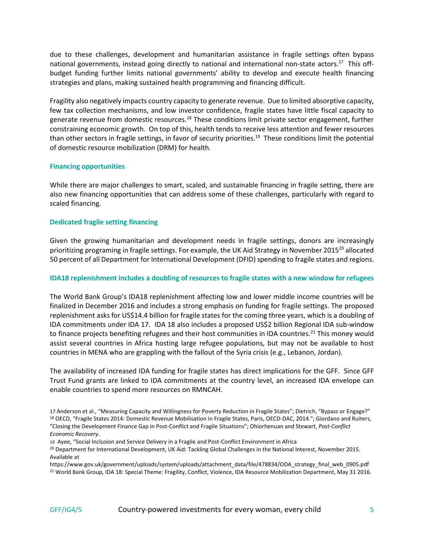due to these challenges, development and humanitarian assistance in fragile settings often bypass national governments, instead going directly to national and international non-state actors.<sup>17</sup> This offbudget funding further limits national governments' ability to develop and execute health financing strategies and plans, making sustained health programming and financing difficult.

Fragility also negatively impacts country capacity to generate revenue. Due to limited absorptive capacity, few tax collection mechanisms, and low investor confidence, fragile states have little fiscal capacity to generate revenue from domestic resources.<sup>18</sup> These conditions limit private sector engagement, further constraining economic growth. On top of this, health tends to receive less attention and fewer resources than other sectors in fragile settings, in favor of security priorities.<sup>19</sup> These conditions limit the potential of domestic resource mobilization (DRM) for health.

#### **Financing opportunities**

While there are major challenges to smart, scaled, and sustainable financing in fragile setting, there are also new financing opportunities that can address some of these challenges, particularly with regard to scaled financing.

#### **Dedicated fragile setting financing**

Given the growing humanitarian and development needs in fragile settings, donors are increasingly prioritizing programing in fragile settings. For example, the UK Aid Strategy in November 2015<sup>20</sup> allocated 50 percent of all Department for International Development (DFID) spending to fragile states and regions.

## **IDA18 replenishment includes a doubling of resources to fragile states with a new window for refugees**

The World Bank Group's IDA18 replenishment affecting low and lower middle income countries will be finalized in December 2016 and includes a strong emphasis on funding for fragile settings. The proposed replenishment asks for US\$14.4 billion for fragile states for the coming three years, which is a doubling of IDA commitments under IDA 17. IDA 18 also includes a proposed US\$2 billion Regional IDA sub-window to finance projects benefiting refugees and their host communities in IDA countries.<sup>21</sup> This money would assist several countries in Africa hosting large refugee populations, but may not be available to host countries in MENA who are grappling with the fallout of the Syria crisis (e.g., Lebanon, Jordan).

The availability of increased IDA funding for fragile states has direct implications for the GFF. Since GFF Trust Fund grants are linked to IDA commitments at the country level, an increased IDA envelope can enable countries to spend more resources on RMNCAH.

<sup>17</sup> Anderson et al., "Measuring Capacity and Willingness for Poverty Reduction in Fragile States"; Dietrich, "Bypass or Engage?" <sup>18</sup> OECD, "Fragile States 2014: Domestic Revenue Mobilisation in Fragile States, Paris, OECD-DAC, 2014."; Giordano and Ruiters, "Closing the Development Finance Gap in Post-Conflict and Fragile Situations"; Ohiorhenuan and Stewart, *Post-Conflict Economic Recovery*.

<sup>19</sup> Ayee, "Social Inclusion and Service Delivery in a Fragile and Post-Conflict Environment in Africa

<sup>&</sup>lt;sup>20</sup> Department for International Development, UK Aid: Tackling Global Challenges in the National Interest, November 2015. Available at

https://www.gov.uk/government/uploads/system/uploads/attachment\_data/file/478834/ODA\_strategy\_final\_web\_0905.pdf <sup>21</sup> World Bank Group, IDA 18: Special Theme: Fragility, Conflict, Violence, IDA Resource Mobilization Department, May 31 2016.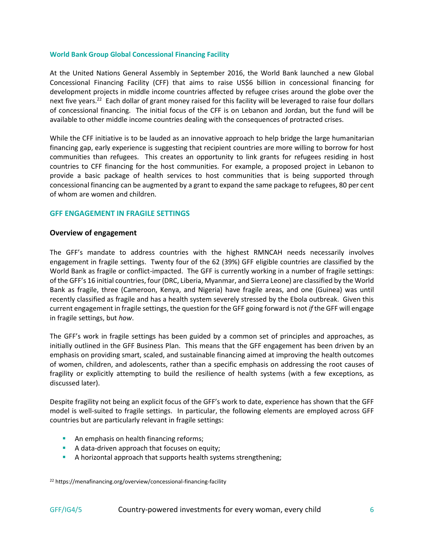#### **World Bank Group Global Concessional Financing Facility**

At the United Nations General Assembly in September 2016, the World Bank launched a new Global Concessional Financing Facility (CFF) that aims to raise US\$6 billion in concessional financing for development projects in middle income countries affected by refugee crises around the globe over the next five years.<sup>22</sup> Each dollar of grant money raised for this facility will be leveraged to raise four dollars of concessional financing. The initial focus of the CFF is on Lebanon and Jordan, but the fund will be available to other middle income countries dealing with the consequences of protracted crises.

While the CFF initiative is to be lauded as an innovative approach to help bridge the large humanitarian financing gap, early experience is suggesting that recipient countries are more willing to borrow for host communities than refugees. This creates an opportunity to link grants for refugees residing in host countries to CFF financing for the host communities. For example, a proposed project in Lebanon to provide a basic package of health services to host communities that is being supported through concessional financing can be augmented by a grant to expand the same package to refugees, 80 per cent of whom are women and children.

# **GFF ENGAGEMENT IN FRAGILE SETTINGS**

# **Overview of engagement**

The GFF's mandate to address countries with the highest RMNCAH needs necessarily involves engagement in fragile settings. Twenty four of the 62 (39%) GFF eligible countries are classified by the World Bank as fragile or conflict-impacted. The GFF is currently working in a number of fragile settings: of the GFF's 16 initial countries, four (DRC, Liberia, Myanmar, and Sierra Leone) are classified by the World Bank as fragile, three (Cameroon, Kenya, and Nigeria) have fragile areas, and one (Guinea) was until recently classified as fragile and has a health system severely stressed by the Ebola outbreak. Given this current engagement in fragile settings, the question for the GFF going forward is not *if* the GFF will engage in fragile settings, but *how*.

The GFF's work in fragile settings has been guided by a common set of principles and approaches, as initially outlined in the GFF Business Plan. This means that the GFF engagement has been driven by an emphasis on providing smart, scaled, and sustainable financing aimed at improving the health outcomes of women, children, and adolescents, rather than a specific emphasis on addressing the root causes of fragility or explicitly attempting to build the resilience of health systems (with a few exceptions, as discussed later).

Despite fragility not being an explicit focus of the GFF's work to date, experience has shown that the GFF model is well-suited to fragile settings. In particular, the following elements are employed across GFF countries but are particularly relevant in fragile settings:

- **An emphasis on health financing reforms;**
- A data-driven approach that focuses on equity;
- A horizontal approach that supports health systems strengthening;

<sup>22</sup> https://menafinancing.org/overview/concessional-financing-facility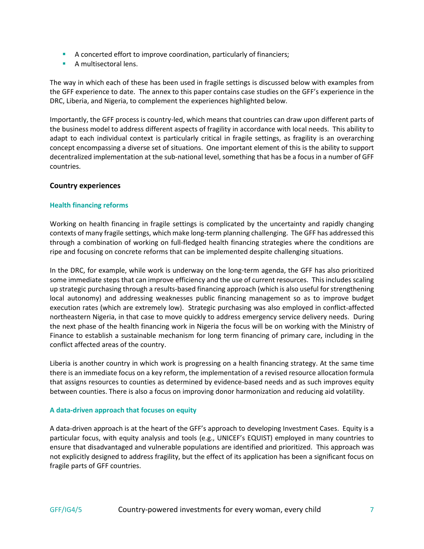- A concerted effort to improve coordination, particularly of financiers;
- **A** multisectoral lens.

The way in which each of these has been used in fragile settings is discussed below with examples from the GFF experience to date. The annex to this paper contains case studies on the GFF's experience in the DRC, Liberia, and Nigeria, to complement the experiences highlighted below.

Importantly, the GFF process is country-led, which means that countries can draw upon different parts of the business model to address different aspects of fragility in accordance with local needs. This ability to adapt to each individual context is particularly critical in fragile settings, as fragility is an overarching concept encompassing a diverse set of situations. One important element of this is the ability to support decentralized implementation at the sub-national level, something that has be a focus in a number of GFF countries.

# **Country experiences**

# **Health financing reforms**

Working on health financing in fragile settings is complicated by the uncertainty and rapidly changing contexts of many fragile settings, which make long-term planning challenging. The GFF has addressed this through a combination of working on full-fledged health financing strategies where the conditions are ripe and focusing on concrete reforms that can be implemented despite challenging situations.

In the DRC, for example, while work is underway on the long-term agenda, the GFF has also prioritized some immediate steps that can improve efficiency and the use of current resources. This includes scaling up strategic purchasing through a results-based financing approach (which is also useful for strengthening local autonomy) and addressing weaknesses public financing management so as to improve budget execution rates (which are extremely low). Strategic purchasing was also employed in conflict-affected northeastern Nigeria, in that case to move quickly to address emergency service delivery needs. During the next phase of the health financing work in Nigeria the focus will be on working with the Ministry of Finance to establish a sustainable mechanism for long term financing of primary care, including in the conflict affected areas of the country.

Liberia is another country in which work is progressing on a health financing strategy. At the same time there is an immediate focus on a key reform, the implementation of a revised resource allocation formula that assigns resources to counties as determined by evidence-based needs and as such improves equity between counties. There is also a focus on improving donor harmonization and reducing aid volatility.

# **A data-driven approach that focuses on equity**

A data-driven approach is at the heart of the GFF's approach to developing Investment Cases. Equity is a particular focus, with equity analysis and tools (e.g., UNICEF's EQUIST) employed in many countries to ensure that disadvantaged and vulnerable populations are identified and prioritized. This approach was not explicitly designed to address fragility, but the effect of its application has been a significant focus on fragile parts of GFF countries.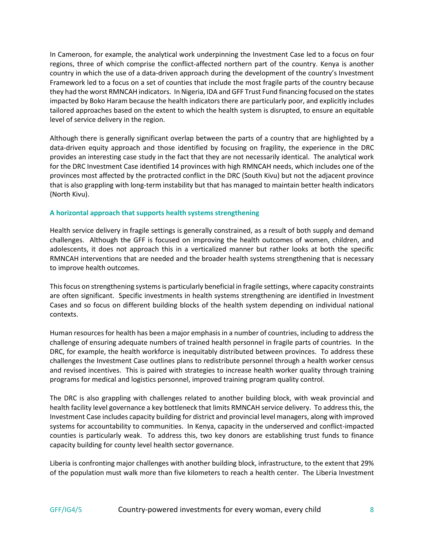In Cameroon, for example, the analytical work underpinning the Investment Case led to a focus on four regions, three of which comprise the conflict-affected northern part of the country. Kenya is another country in which the use of a data-driven approach during the development of the country's Investment Framework led to a focus on a set of counties that include the most fragile parts of the country because they had the worst RMNCAH indicators. In Nigeria, IDA and GFF Trust Fund financing focused on the states impacted by Boko Haram because the health indicators there are particularly poor, and explicitly includes tailored approaches based on the extent to which the health system is disrupted, to ensure an equitable level of service delivery in the region.

Although there is generally significant overlap between the parts of a country that are highlighted by a data-driven equity approach and those identified by focusing on fragility, the experience in the DRC provides an interesting case study in the fact that they are not necessarily identical. The analytical work for the DRC Investment Case identified 14 provinces with high RMNCAH needs, which includes one of the provinces most affected by the protracted conflict in the DRC (South Kivu) but not the adjacent province that is also grappling with long-term instability but that has managed to maintain better health indicators (North Kivu).

# **A horizontal approach that supports health systems strengthening**

Health service delivery in fragile settings is generally constrained, as a result of both supply and demand challenges. Although the GFF is focused on improving the health outcomes of women, children, and adolescents, it does not approach this in a verticalized manner but rather looks at both the specific RMNCAH interventions that are needed and the broader health systems strengthening that is necessary to improve health outcomes.

This focus on strengthening systems is particularly beneficial in fragile settings, where capacity constraints are often significant. Specific investments in health systems strengthening are identified in Investment Cases and so focus on different building blocks of the health system depending on individual national contexts.

Human resources for health has been a major emphasis in a number of countries, including to address the challenge of ensuring adequate numbers of trained health personnel in fragile parts of countries. In the DRC, for example, the health workforce is inequitably distributed between provinces. To address these challenges the Investment Case outlines plans to redistribute personnel through a health worker census and revised incentives. This is paired with strategies to increase health worker quality through training programs for medical and logistics personnel, improved training program quality control.

The DRC is also grappling with challenges related to another building block, with weak provincial and health facility level governance a key bottleneck that limits RMNCAH service delivery. To address this, the Investment Case includes capacity building for district and provincial level managers, along with improved systems for accountability to communities. In Kenya, capacity in the underserved and conflict-impacted counties is particularly weak. To address this, two key donors are establishing trust funds to finance capacity building for county level health sector governance.

Liberia is confronting major challenges with another building block, infrastructure, to the extent that 29% of the population must walk more than five kilometers to reach a health center. The Liberia Investment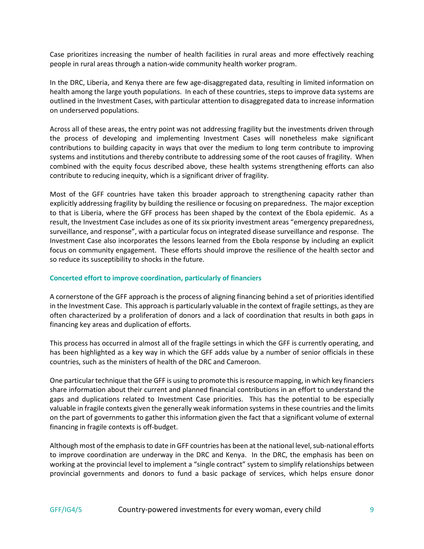Case prioritizes increasing the number of health facilities in rural areas and more effectively reaching people in rural areas through a nation-wide community health worker program.

In the DRC, Liberia, and Kenya there are few age-disaggregated data, resulting in limited information on health among the large youth populations. In each of these countries, steps to improve data systems are outlined in the Investment Cases, with particular attention to disaggregated data to increase information on underserved populations.

Across all of these areas, the entry point was not addressing fragility but the investments driven through the process of developing and implementing Investment Cases will nonetheless make significant contributions to building capacity in ways that over the medium to long term contribute to improving systems and institutions and thereby contribute to addressing some of the root causes of fragility. When combined with the equity focus described above, these health systems strengthening efforts can also contribute to reducing inequity, which is a significant driver of fragility.

Most of the GFF countries have taken this broader approach to strengthening capacity rather than explicitly addressing fragility by building the resilience or focusing on preparedness. The major exception to that is Liberia, where the GFF process has been shaped by the context of the Ebola epidemic. As a result, the Investment Case includes as one of its six priority investment areas "emergency preparedness, surveillance, and response", with a particular focus on integrated disease surveillance and response. The Investment Case also incorporates the lessons learned from the Ebola response by including an explicit focus on community engagement. These efforts should improve the resilience of the health sector and so reduce its susceptibility to shocks in the future.

# **Concerted effort to improve coordination, particularly of financiers**

A cornerstone of the GFF approach is the process of aligning financing behind a set of priorities identified in the Investment Case. This approach is particularly valuable in the context of fragile settings, as they are often characterized by a proliferation of donors and a lack of coordination that results in both gaps in financing key areas and duplication of efforts.

This process has occurred in almost all of the fragile settings in which the GFF is currently operating, and has been highlighted as a key way in which the GFF adds value by a number of senior officials in these countries, such as the ministers of health of the DRC and Cameroon.

One particular technique that the GFF is using to promote this is resource mapping, in which key financiers share information about their current and planned financial contributions in an effort to understand the gaps and duplications related to Investment Case priorities. This has the potential to be especially valuable in fragile contexts given the generally weak information systems in these countries and the limits on the part of governments to gather this information given the fact that a significant volume of external financing in fragile contexts is off-budget.

Although most of the emphasis to date in GFF countries has been at the national level, sub-national efforts to improve coordination are underway in the DRC and Kenya. In the DRC, the emphasis has been on working at the provincial level to implement a "single contract" system to simplify relationships between provincial governments and donors to fund a basic package of services, which helps ensure donor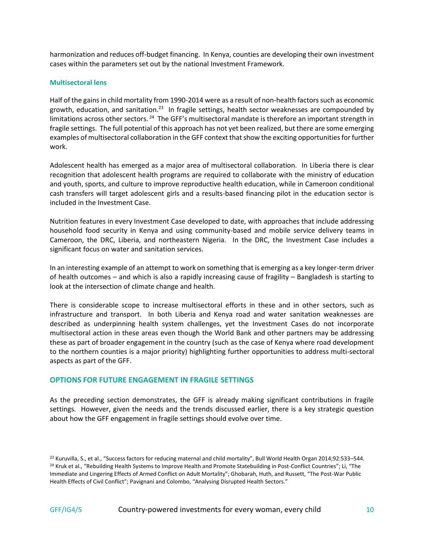harmonization and reduces off-budget financing. In Kenya, counties are developing their own investment cases within the parameters set out by the national Investment Framework.

# **Multisectoral lens**

Half of the gains in child mortality from 1990-2014 were as a result of non-health factors such as economic growth, education, and sanitation.<sup>23</sup> In fragile settings, health sector weaknesses are compounded by limitations across other sectors. <sup>24</sup> The GFF's multisectoral mandate is therefore an important strength in fragile settings. The full potential of this approach has not yet been realized, but there are some emerging examples of multisectoral collaboration in the GFF context that show the exciting opportunities for further work.

Adolescent health has emerged as a major area of multisectoral collaboration. In Liberia there is clear recognition that adolescent health programs are required to collaborate with the ministry of education and youth, sports, and culture to improve reproductive health education, while in Cameroon conditional cash transfers will target adolescent girls and a results-based financing pilot in the education sector is included in the Investment Case.

Nutrition features in every Investment Case developed to date, with approaches that include addressing household food security in Kenya and using community-based and mobile service delivery teams in Cameroon, the DRC, Liberia, and northeastern Nigeria. In the DRC, the Investment Case includes a significant focus on water and sanitation services.

In an interesting example of an attempt to work on something that is emerging as a key longer-term driver of health outcomes – and which is also a rapidly increasing cause of fragility – Bangladesh is starting to look at the intersection of climate change and health.

There is considerable scope to increase multisectoral efforts in these and in other sectors, such as infrastructure and transport. In both Liberia and Kenya road and water sanitation weaknesses are described as underpinning health system challenges, yet the Investment Cases do not incorporate multisectoral action in these areas even though the World Bank and other partners may be addressing these as part of broader engagement in the country (such as the case of Kenya where road development to the northern counties is a major priority) highlighting further opportunities to address multi-sectoral aspects as part of the GFF.

# **OPTIONS FOR FUTURE ENGAGEMENT IN FRAGILE SETTINGS**

As the preceding section demonstrates, the GFF is already making significant contributions in fragile settings. However, given the needs and the trends discussed earlier, there is a key strategic question about how the GFF engagement in fragile settings should evolve over time.

<sup>&</sup>lt;sup>23</sup> Kuruvilla, S., et al., "Success factors for reducing maternal and child mortality", Bull World Health Organ 2014;92:533–544. <sup>24</sup> Kruk et al., "Rebuilding Health Systems to Improve Health and Promote Statebuilding in Post-Conflict Countries"; Li, "The Immediate and Lingering Effects of Armed Conflict on Adult Mortality"; Ghobarah, Huth, and Russett, "The Post-War Public Health Effects of Civil Conflict"; Pavignani and Colombo, "Analysing Disrupted Health Sectors."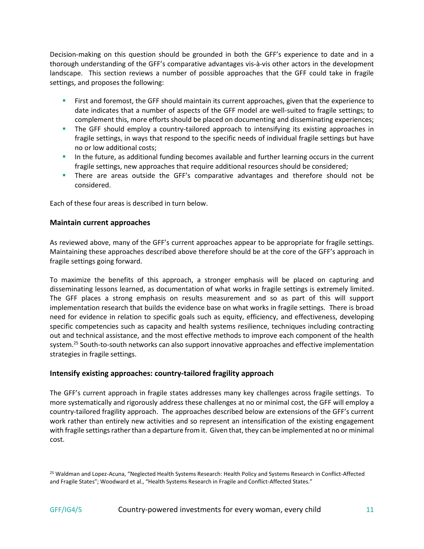Decision-making on this question should be grounded in both the GFF's experience to date and in a thorough understanding of the GFF's comparative advantages vis-à-vis other actors in the development landscape. This section reviews a number of possible approaches that the GFF could take in fragile settings, and proposes the following:

- First and foremost, the GFF should maintain its current approaches, given that the experience to date indicates that a number of aspects of the GFF model are well-suited to fragile settings; to complement this, more efforts should be placed on documenting and disseminating experiences;
- **The GFF should employ a country-tailored approach to intensifying its existing approaches in** fragile settings, in ways that respond to the specific needs of individual fragile settings but have no or low additional costs;
- In the future, as additional funding becomes available and further learning occurs in the current fragile settings, new approaches that require additional resources should be considered;
- **There are areas outside the GFF's comparative advantages and therefore should not be** considered.

Each of these four areas is described in turn below.

# **Maintain current approaches**

As reviewed above, many of the GFF's current approaches appear to be appropriate for fragile settings. Maintaining these approaches described above therefore should be at the core of the GFF's approach in fragile settings going forward.

To maximize the benefits of this approach, a stronger emphasis will be placed on capturing and disseminating lessons learned, as documentation of what works in fragile settings is extremely limited. The GFF places a strong emphasis on results measurement and so as part of this will support implementation research that builds the evidence base on what works in fragile settings. There is broad need for evidence in relation to specific goals such as equity, efficiency, and effectiveness, developing specific competencies such as capacity and health systems resilience, techniques including contracting out and technical assistance, and the most effective methods to improve each component of the health system.<sup>25</sup> South-to-south networks can also support innovative approaches and effective implementation strategies in fragile settings.

# **Intensify existing approaches: country-tailored fragility approach**

The GFF's current approach in fragile states addresses many key challenges across fragile settings. To more systematically and rigorously address these challenges at no or minimal cost, the GFF will employ a country-tailored fragility approach. The approaches described below are extensions of the GFF's current work rather than entirely new activities and so represent an intensification of the existing engagement with fragile settings rather than a departure from it. Given that, they can be implemented at no or minimal cost.

<sup>25</sup> Waldman and Lopez-Acuna, "Neglected Health Systems Research: Health Policy and Systems Research in Conflict-Affected and Fragile States"; Woodward et al., "Health Systems Research in Fragile and Conflict-Affected States."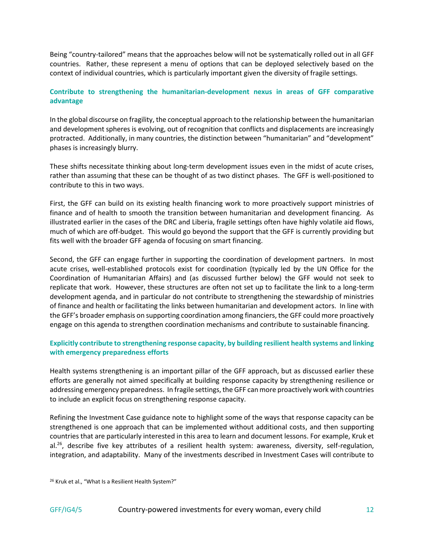Being "country-tailored" means that the approaches below will not be systematically rolled out in all GFF countries. Rather, these represent a menu of options that can be deployed selectively based on the context of individual countries, which is particularly important given the diversity of fragile settings.

# **Contribute to strengthening the humanitarian-development nexus in areas of GFF comparative advantage**

In the global discourse on fragility, the conceptual approach to the relationship between the humanitarian and development spheres is evolving, out of recognition that conflicts and displacements are increasingly protracted. Additionally, in many countries, the distinction between "humanitarian" and "development" phases is increasingly blurry.

These shifts necessitate thinking about long-term development issues even in the midst of acute crises, rather than assuming that these can be thought of as two distinct phases. The GFF is well-positioned to contribute to this in two ways.

First, the GFF can build on its existing health financing work to more proactively support ministries of finance and of health to smooth the transition between humanitarian and development financing. As illustrated earlier in the cases of the DRC and Liberia, fragile settings often have highly volatile aid flows, much of which are off-budget. This would go beyond the support that the GFF is currently providing but fits well with the broader GFF agenda of focusing on smart financing.

Second, the GFF can engage further in supporting the coordination of development partners. In most acute crises, well-established protocols exist for coordination (typically led by the UN Office for the Coordination of Humanitarian Affairs) and (as discussed further below) the GFF would not seek to replicate that work. However, these structures are often not set up to facilitate the link to a long-term development agenda, and in particular do not contribute to strengthening the stewardship of ministries of finance and health or facilitating the links between humanitarian and development actors. In line with the GFF's broader emphasis on supporting coordination among financiers, the GFF could more proactively engage on this agenda to strengthen coordination mechanisms and contribute to sustainable financing.

# **Explicitly contribute to strengthening response capacity, by building resilient health systems and linking with emergency preparedness efforts**

Health systems strengthening is an important pillar of the GFF approach, but as discussed earlier these efforts are generally not aimed specifically at building response capacity by strengthening resilience or addressing emergency preparedness. In fragile settings, the GFF can more proactively work with countries to include an explicit focus on strengthening response capacity.

Refining the Investment Case guidance note to highlight some of the ways that response capacity can be strengthened is one approach that can be implemented without additional costs, and then supporting countries that are particularly interested in this area to learn and document lessons. For example, Kruk et al.<sup>26</sup>, describe five key attributes of a resilient health system: awareness, diversity, self-regulation, integration, and adaptability. Many of the investments described in Investment Cases will contribute to

<sup>26</sup> Kruk et al., "What Is a Resilient Health System?"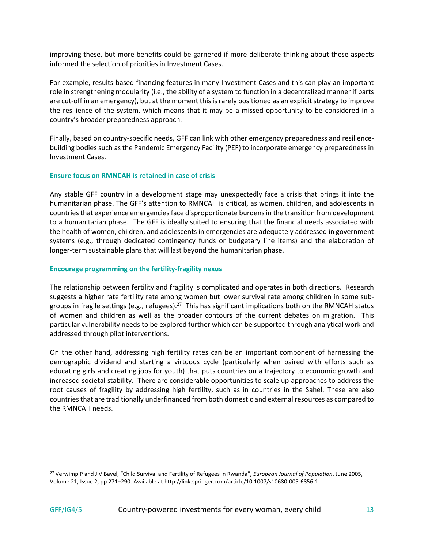improving these, but more benefits could be garnered if more deliberate thinking about these aspects informed the selection of priorities in Investment Cases.

For example, results-based financing features in many Investment Cases and this can play an important role in strengthening modularity (i.e., the ability of a system to function in a decentralized manner if parts are cut-off in an emergency), but at the moment this is rarely positioned as an explicit strategy to improve the resilience of the system, which means that it may be a missed opportunity to be considered in a country's broader preparedness approach.

Finally, based on country-specific needs, GFF can link with other emergency preparedness and resiliencebuilding bodies such as the Pandemic Emergency Facility (PEF) to incorporate emergency preparedness in Investment Cases.

# **Ensure focus on RMNCAH is retained in case of crisis**

Any stable GFF country in a development stage may unexpectedly face a crisis that brings it into the humanitarian phase. The GFF's attention to RMNCAH is critical, as women, children, and adolescents in countries that experience emergencies face disproportionate burdens in the transition from development to a humanitarian phase. The GFF is ideally suited to ensuring that the financial needs associated with the health of women, children, and adolescents in emergencies are adequately addressed in government systems (e.g., through dedicated contingency funds or budgetary line items) and the elaboration of longer-term sustainable plans that will last beyond the humanitarian phase.

#### **Encourage programming on the fertility-fragility nexus**

The relationship between fertility and fragility is complicated and operates in both directions. Research suggests a higher rate fertility rate among women but lower survival rate among children in some subgroups in fragile settings (e.g., refugees).<sup>27</sup> This has significant implications both on the RMNCAH status of women and children as well as the broader contours of the current debates on migration. This particular vulnerability needs to be explored further which can be supported through analytical work and addressed through pilot interventions.

On the other hand, addressing high fertility rates can be an important component of harnessing the demographic dividend and starting a virtuous cycle (particularly when paired with efforts such as educating girls and creating jobs for youth) that puts countries on a trajectory to economic growth and increased societal stability. There are considerable opportunities to scale up approaches to address the root causes of fragility by addressing high fertility, such as in countries in the Sahel. These are also countries that are traditionally underfinanced from both domestic and external resources as compared to the RMNCAH needs.

<sup>27</sup> Verwimp P and J V Bavel, "Child Survival and Fertility of Refugees in Rwanda", *European Journal of Population*, June 2005, Volume 21, Issue 2, pp 271–290. Available at http://link.springer.com/article/10.1007/s10680-005-6856-1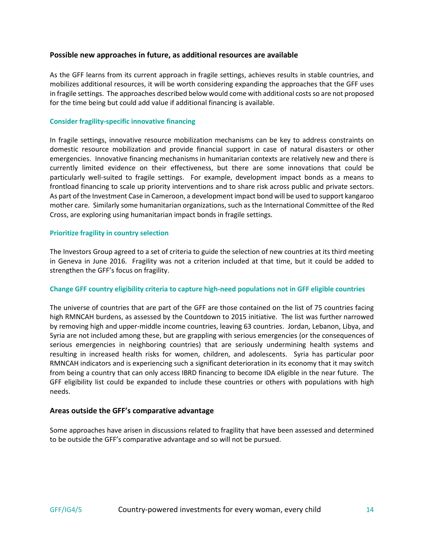# **Possible new approaches in future, as additional resources are available**

As the GFF learns from its current approach in fragile settings, achieves results in stable countries, and mobilizes additional resources, it will be worth considering expanding the approaches that the GFF uses in fragile settings. The approaches described below would come with additional costs so are not proposed for the time being but could add value if additional financing is available.

# **Consider fragility-specific innovative financing**

In fragile settings, innovative resource mobilization mechanisms can be key to address constraints on domestic resource mobilization and provide financial support in case of natural disasters or other emergencies. Innovative financing mechanisms in humanitarian contexts are relatively new and there is currently limited evidence on their effectiveness, but there are some innovations that could be particularly well-suited to fragile settings. For example, development impact bonds as a means to frontload financing to scale up priority interventions and to share risk across public and private sectors. As part of the Investment Case in Cameroon, a development impact bond will be used to support kangaroo mother care. Similarly some humanitarian organizations, such as the International Committee of the Red Cross, are exploring using humanitarian impact bonds in fragile settings.

# **Prioritize fragility in country selection**

The Investors Group agreed to a set of criteria to guide the selection of new countries at its third meeting in Geneva in June 2016. Fragility was not a criterion included at that time, but it could be added to strengthen the GFF's focus on fragility.

# **Change GFF country eligibility criteria to capture high-need populations not in GFF eligible countries**

The universe of countries that are part of the GFF are those contained on the list of 75 countries facing high RMNCAH burdens, as assessed by the Countdown to 2015 initiative. The list was further narrowed by removing high and upper-middle income countries, leaving 63 countries. Jordan, Lebanon, Libya, and Syria are not included among these, but are grappling with serious emergencies (or the consequences of serious emergencies in neighboring countries) that are seriously undermining health systems and resulting in increased health risks for women, children, and adolescents. Syria has particular poor RMNCAH indicators and is experiencing such a significant deterioration in its economy that it may switch from being a country that can only access IBRD financing to become IDA eligible in the near future. The GFF eligibility list could be expanded to include these countries or others with populations with high needs.

# **Areas outside the GFF's comparative advantage**

Some approaches have arisen in discussions related to fragility that have been assessed and determined to be outside the GFF's comparative advantage and so will not be pursued.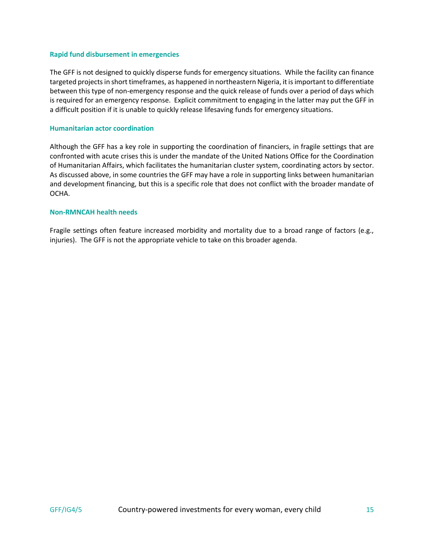#### **Rapid fund disbursement in emergencies**

The GFF is not designed to quickly disperse funds for emergency situations. While the facility can finance targeted projects in short timeframes, as happened in northeastern Nigeria, it is important to differentiate between this type of non-emergency response and the quick release of funds over a period of days which is required for an emergency response. Explicit commitment to engaging in the latter may put the GFF in a difficult position if it is unable to quickly release lifesaving funds for emergency situations.

#### **Humanitarian actor coordination**

Although the GFF has a key role in supporting the coordination of financiers, in fragile settings that are confronted with acute crises this is under the mandate of the United Nations Office for the Coordination of Humanitarian Affairs, which facilitates the humanitarian cluster system, coordinating actors by sector. As discussed above, in some countries the GFF may have a role in supporting links between humanitarian and development financing, but this is a specific role that does not conflict with the broader mandate of OCHA.

#### **Non-RMNCAH health needs**

Fragile settings often feature increased morbidity and mortality due to a broad range of factors (e.g., injuries). The GFF is not the appropriate vehicle to take on this broader agenda.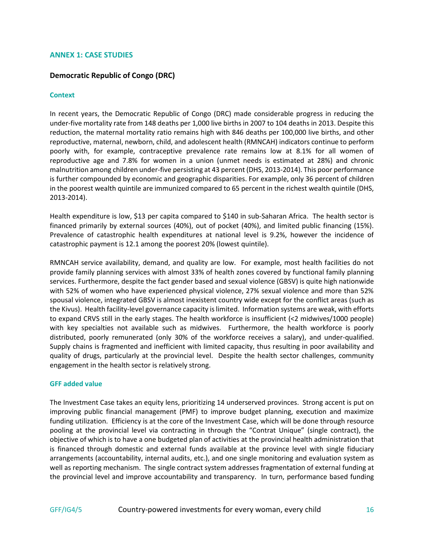#### **ANNEX 1: CASE STUDIES**

# **Democratic Republic of Congo (DRC)**

#### **Context**

In recent years, the Democratic Republic of Congo (DRC) made considerable progress in reducing the under-five mortality rate from 148 deaths per 1,000 live births in 2007 to 104 deaths in 2013. Despite this reduction, the maternal mortality ratio remains high with 846 deaths per 100,000 live births, and other reproductive, maternal, newborn, child, and adolescent health (RMNCAH) indicators continue to perform poorly with, for example, contraceptive prevalence rate remains low at 8.1% for all women of reproductive age and 7.8% for women in a union (unmet needs is estimated at 28%) and chronic malnutrition among children under-five persisting at 43 percent (DHS, 2013-2014). This poor performance is further compounded by economic and geographic disparities. For example, only 36 percent of children in the poorest wealth quintile are immunized compared to 65 percent in the richest wealth quintile (DHS, 2013-2014).

Health expenditure is low, \$13 per capita compared to \$140 in sub-Saharan Africa. The health sector is financed primarily by external sources (40%), out of pocket (40%), and limited public financing (15%). Prevalence of catastrophic health expenditures at national level is 9.2%, however the incidence of catastrophic payment is 12.1 among the poorest 20% (lowest quintile).

RMNCAH service availability, demand, and quality are low. For example, most health facilities do not provide family planning services with almost 33% of health zones covered by functional family planning services. Furthermore, despite the fact gender based and sexual violence (GBSV) is quite high nationwide with 52% of women who have experienced physical violence, 27% sexual violence and more than 52% spousal violence, integrated GBSV is almost inexistent country wide except for the conflict areas (such as the Kivus). Health facility-level governance capacity is limited. Information systems are weak, with efforts to expand CRVS still in the early stages. The health workforce is insufficient (<2 midwives/1000 people) with key specialties not available such as midwives. Furthermore, the health workforce is poorly distributed, poorly remunerated (only 30% of the workforce receives a salary), and under-qualified. Supply chains is fragmented and inefficient with limited capacity, thus resulting in poor availability and quality of drugs, particularly at the provincial level. Despite the health sector challenges, community engagement in the health sector is relatively strong.

#### **GFF added value**

The Investment Case takes an equity lens, prioritizing 14 underserved provinces. Strong accent is put on improving public financial management (PMF) to improve budget planning, execution and maximize funding utilization. Efficiency is at the core of the Investment Case, which will be done through resource pooling at the provincial level via contracting in through the "Contrat Unique" (single contract), the objective of which is to have a one budgeted plan of activities at the provincial health administration that is financed through domestic and external funds available at the province level with single fiduciary arrangements (accountability, internal audits, etc.), and one single monitoring and evaluation system as well as reporting mechanism. The single contract system addresses fragmentation of external funding at the provincial level and improve accountability and transparency. In turn, performance based funding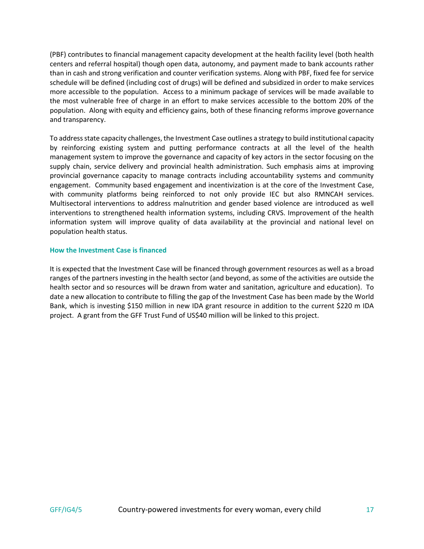(PBF) contributes to financial management capacity development at the health facility level (both health centers and referral hospital) though open data, autonomy, and payment made to bank accounts rather than in cash and strong verification and counter verification systems. Along with PBF, fixed fee for service schedule will be defined (including cost of drugs) will be defined and subsidized in order to make services more accessible to the population. Access to a minimum package of services will be made available to the most vulnerable free of charge in an effort to make services accessible to the bottom 20% of the population. Along with equity and efficiency gains, both of these financing reforms improve governance and transparency.

To address state capacity challenges, the Investment Case outlines a strategy to build institutional capacity by reinforcing existing system and putting performance contracts at all the level of the health management system to improve the governance and capacity of key actors in the sector focusing on the supply chain, service delivery and provincial health administration. Such emphasis aims at improving provincial governance capacity to manage contracts including accountability systems and community engagement. Community based engagement and incentivization is at the core of the Investment Case, with community platforms being reinforced to not only provide IEC but also RMNCAH services. Multisectoral interventions to address malnutrition and gender based violence are introduced as well interventions to strengthened health information systems, including CRVS. Improvement of the health information system will improve quality of data availability at the provincial and national level on population health status.

# **How the Investment Case is financed**

It is expected that the Investment Case will be financed through government resources as well as a broad ranges of the partners investing in the health sector (and beyond, as some of the activities are outside the health sector and so resources will be drawn from water and sanitation, agriculture and education). To date a new allocation to contribute to filling the gap of the Investment Case has been made by the World Bank, which is investing \$150 million in new IDA grant resource in addition to the current \$220 m IDA project. A grant from the GFF Trust Fund of US\$40 million will be linked to this project.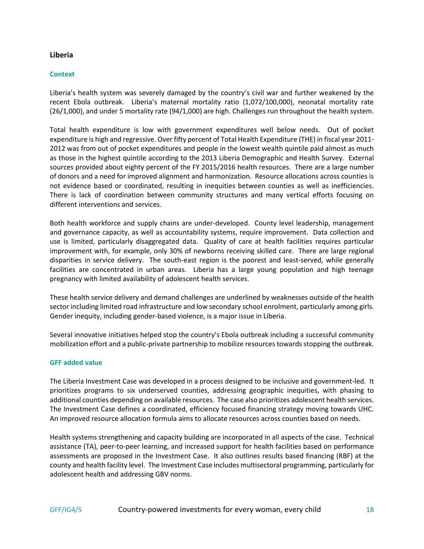# **Liberia**

# **Context**

Liberia's health system was severely damaged by the country's civil war and further weakened by the recent Ebola outbreak. Liberia's maternal mortality ratio (1,072/100,000), neonatal mortality rate (26/1,000), and under 5 mortality rate (94/1,000) are high. Challenges run throughout the health system.

Total health expenditure is low with government expenditures well below needs. Out of pocket expenditure is high and regressive. Over fifty percent of Total Health Expenditure (THE) in fiscal year 2011- 2012 was from out of pocket expenditures and people in the lowest wealth quintile paid almost as much as those in the highest quintile according to the 2013 Liberia Demographic and Health Survey. External sources provided about eighty percent of the FY 2015/2016 health resources. There are a large number of donors and a need for improved alignment and harmonization. Resource allocations across counties is not evidence based or coordinated, resulting in inequities between counties as well as inefficiencies. There is lack of coordination between community structures and many vertical efforts focusing on different interventions and services.

Both health workforce and supply chains are under-developed. County level leadership, management and governance capacity, as well as accountability systems, require improvement. Data collection and use is limited, particularly disaggregated data. Quality of care at health facilities requires particular improvement with, for example, only 30% of newborns receiving skilled care. There are large regional disparities in service delivery. The south-east region is the poorest and least-served, while generally facilities are concentrated in urban areas. Liberia has a large young population and high teenage pregnancy with limited availability of adolescent health services.

These health service delivery and demand challenges are underlined by weaknesses outside of the health sector including limited road infrastructure and low secondary school enrolment, particularly among girls. Gender inequity, including gender-based violence, is a major issue in Liberia.

Several innovative initiatives helped stop the country's Ebola outbreak including a successful community mobilization effort and a public-private partnership to mobilize resources towards stopping the outbreak.

# **GFF added value**

The Liberia Investment Case was developed in a process designed to be inclusive and government-led. It prioritizes programs to six underserved counties, addressing geographic inequities, with phasing to additional counties depending on available resources. The case also prioritizes adolescent health services. The Investment Case defines a coordinated, efficiency focused financing strategy moving towards UHC. An improved resource allocation formula aims to allocate resources across counties based on needs.

Health systems strengthening and capacity building are incorporated in all aspects of the case. Technical assistance (TA), peer-to-peer learning, and increased support for health facilities based on performance assessments are proposed in the Investment Case. It also outlines results based financing (RBF) at the county and health facility level. The Investment Case includes multisectoral programming, particularly for adolescent health and addressing GBV norms.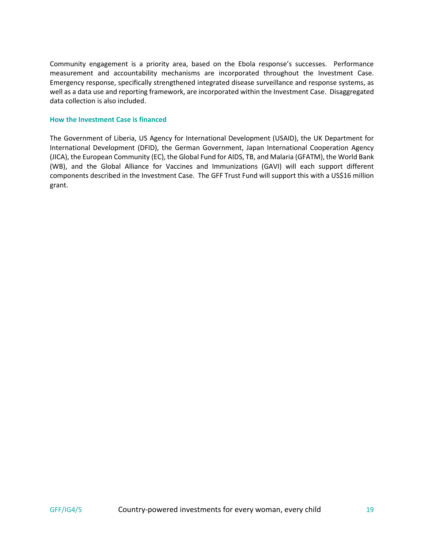Community engagement is a priority area, based on the Ebola response's successes. Performance measurement and accountability mechanisms are incorporated throughout the Investment Case. Emergency response, specifically strengthened integrated disease surveillance and response systems, as well as a data use and reporting framework, are incorporated within the Investment Case. Disaggregated data collection is also included.

# **How the Investment Case is financed**

The Government of Liberia, US Agency for International Development (USAID), the UK Department for International Development (DFID), the German Government, Japan International Cooperation Agency (JICA), the European Community (EC), the Global Fund for AIDS, TB, and Malaria (GFATM), the World Bank (WB), and the Global Alliance for Vaccines and Immunizations (GAVI) will each support different components described in the Investment Case. The GFF Trust Fund will support this with a US\$16 million grant.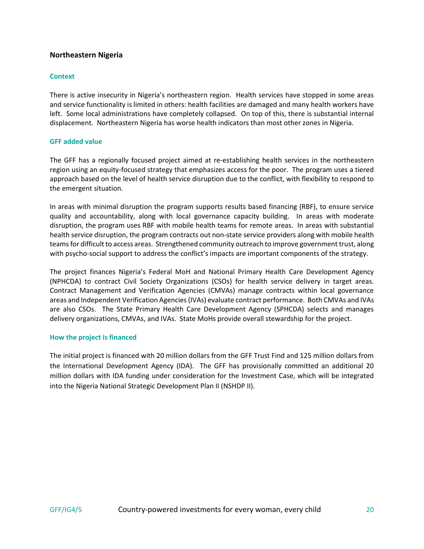# **Northeastern Nigeria**

## **Context**

There is active insecurity in Nigeria's northeastern region. Health services have stopped in some areas and service functionality is limited in others: health facilities are damaged and many health workers have left. Some local administrations have completely collapsed. On top of this, there is substantial internal displacement. Northeastern Nigeria has worse health indicators than most other zones in Nigeria.

# **GFF added value**

The GFF has a regionally focused project aimed at re-establishing health services in the northeastern region using an equity-focused strategy that emphasizes access for the poor. The program uses a tiered approach based on the level of health service disruption due to the conflict, with flexibility to respond to the emergent situation.

In areas with minimal disruption the program supports results based financing (RBF), to ensure service quality and accountability, along with local governance capacity building. In areas with moderate disruption, the program uses RBF with mobile health teams for remote areas. In areas with substantial health service disruption, the program contracts out non-state service providers along with mobile health teams for difficult to access areas. Strengthened community outreach to improve government trust, along with psycho-social support to address the conflict's impacts are important components of the strategy.

The project finances Nigeria's Federal MoH and National Primary Health Care Development Agency (NPHCDA) to contract Civil Society Organizations (CSOs) for health service delivery in target areas. Contract Management and Verification Agencies (CMVAs) manage contracts within local governance areas and Independent Verification Agencies (IVAs) evaluate contract performance. Both CMVAs and IVAs are also CSOs. The State Primary Health Care Development Agency (SPHCDA) selects and manages delivery organizations, CMVAs, and IVAs. State MoHs provide overall stewardship for the project.

#### **How the project is financed**

The initial project is financed with 20 million dollars from the GFF Trust Find and 125 million dollars from the International Development Agency (IDA). The GFF has provisionally committed an additional 20 million dollars with IDA funding under consideration for the Investment Case, which will be integrated into the Nigeria National Strategic Development Plan II (NSHDP II).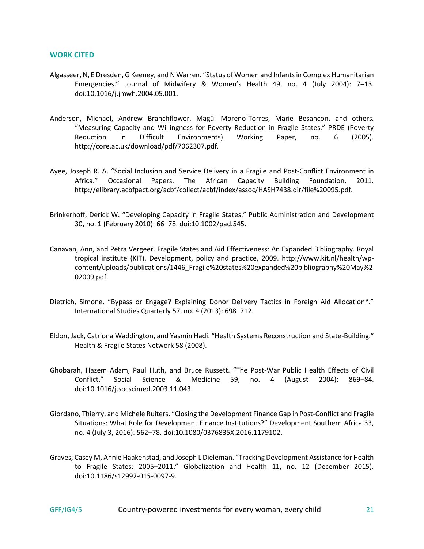#### **WORK CITED**

- Algasseer, N, E Dresden, G Keeney, and N Warren. "Status of Women and Infants in Complex Humanitarian Emergencies." Journal of Midwifery & Women's Health 49, no. 4 (July 2004): 7–13. doi:10.1016/j.jmwh.2004.05.001.
- Anderson, Michael, Andrew Branchflower, Magüi Moreno-Torres, Marie Besançon, and others. "Measuring Capacity and Willingness for Poverty Reduction in Fragile States." PRDE (Poverty Reduction in Difficult Environments) Working Paper, no. 6 (2005). http://core.ac.uk/download/pdf/7062307.pdf.
- Ayee, Joseph R. A. "Social Inclusion and Service Delivery in a Fragile and Post-Conflict Environment in Africa." Occasional Papers. The African Capacity Building Foundation, 2011. http://elibrary.acbfpact.org/acbf/collect/acbf/index/assoc/HASH7438.dir/file%20095.pdf.
- Brinkerhoff, Derick W. "Developing Capacity in Fragile States." Public Administration and Development 30, no. 1 (February 2010): 66–78. doi:10.1002/pad.545.
- Canavan, Ann, and Petra Vergeer. Fragile States and Aid Effectiveness: An Expanded Bibliography. Royal tropical institute (KIT). Development, policy and practice, 2009. http://www.kit.nl/health/wpcontent/uploads/publications/1446\_Fragile%20states%20expanded%20bibliography%20May%2 02009.pdf.
- Dietrich, Simone. "Bypass or Engage? Explaining Donor Delivery Tactics in Foreign Aid Allocation\*." International Studies Quarterly 57, no. 4 (2013): 698–712.
- Eldon, Jack, Catriona Waddington, and Yasmin Hadi. "Health Systems Reconstruction and State-Building." Health & Fragile States Network 58 (2008).
- Ghobarah, Hazem Adam, Paul Huth, and Bruce Russett. "The Post-War Public Health Effects of Civil Conflict." Social Science & Medicine 59, no. 4 (August 2004): 869–84. doi:10.1016/j.socscimed.2003.11.043.
- Giordano, Thierry, and Michele Ruiters. "Closing the Development Finance Gap in Post-Conflict and Fragile Situations: What Role for Development Finance Institutions?" Development Southern Africa 33, no. 4 (July 3, 2016): 562–78. doi:10.1080/0376835X.2016.1179102.
- Graves, Casey M, Annie Haakenstad, and Joseph L Dieleman. "Tracking Development Assistance for Health to Fragile States: 2005–2011." Globalization and Health 11, no. 12 (December 2015). doi:10.1186/s12992-015-0097-9.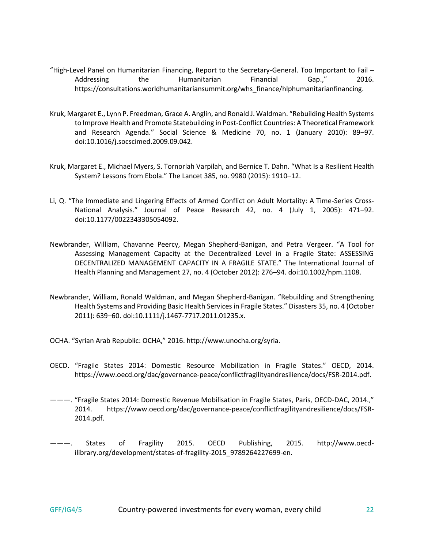- "High-Level Panel on Humanitarian Financing, Report to the Secretary-General. Too Important to Fail Addressing the Humanitarian Financial Gap.," 2016. https://consultations.worldhumanitariansummit.org/whs\_finance/hlphumanitarianfinancing.
- Kruk, Margaret E., Lynn P. Freedman, Grace A. Anglin, and Ronald J. Waldman. "Rebuilding Health Systems to Improve Health and Promote Statebuilding in Post-Conflict Countries: A Theoretical Framework and Research Agenda." Social Science & Medicine 70, no. 1 (January 2010): 89–97. doi:10.1016/j.socscimed.2009.09.042.
- Kruk, Margaret E., Michael Myers, S. Tornorlah Varpilah, and Bernice T. Dahn. "What Is a Resilient Health System? Lessons from Ebola." The Lancet 385, no. 9980 (2015): 1910–12.
- Li, Q. "The Immediate and Lingering Effects of Armed Conflict on Adult Mortality: A Time-Series Cross-National Analysis." Journal of Peace Research 42, no. 4 (July 1, 2005): 471–92. doi:10.1177/0022343305054092.
- Newbrander, William, Chavanne Peercy, Megan Shepherd-Banigan, and Petra Vergeer. "A Tool for Assessing Management Capacity at the Decentralized Level in a Fragile State: ASSESSING DECENTRALIZED MANAGEMENT CAPACITY IN A FRAGILE STATE." The International Journal of Health Planning and Management 27, no. 4 (October 2012): 276–94. doi:10.1002/hpm.1108.
- Newbrander, William, Ronald Waldman, and Megan Shepherd-Banigan. "Rebuilding and Strengthening Health Systems and Providing Basic Health Services in Fragile States." Disasters 35, no. 4 (October 2011): 639–60. doi:10.1111/j.1467-7717.2011.01235.x.
- OCHA. "Syrian Arab Republic: OCHA," 2016. http://www.unocha.org/syria.
- OECD. "Fragile States 2014: Domestic Resource Mobilization in Fragile States." OECD, 2014. https://www.oecd.org/dac/governance-peace/conflictfragilityandresilience/docs/FSR-2014.pdf.
- ———. "Fragile States 2014: Domestic Revenue Mobilisation in Fragile States, Paris, OECD-DAC, 2014.," 2014. https://www.oecd.org/dac/governance-peace/conflictfragilityandresilience/docs/FSR-2014.pdf.
- States of Fragility 2015. OECD Publishing, 2015. http://www.oecdilibrary.org/development/states-of-fragility-2015 9789264227699-en.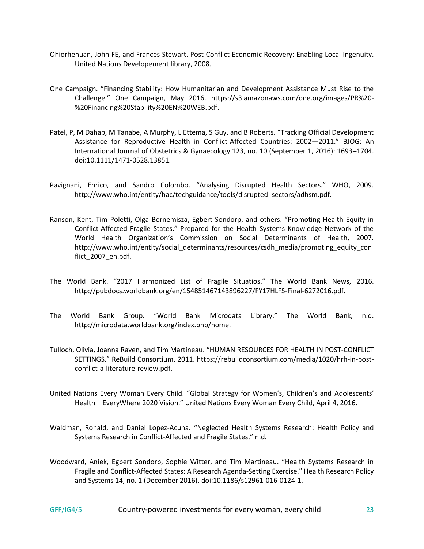- Ohiorhenuan, John FE, and Frances Stewart. Post-Conflict Economic Recovery: Enabling Local Ingenuity. United Nations Developement library, 2008.
- One Campaign. "Financing Stability: How Humanitarian and Development Assistance Must Rise to the Challenge." One Campaign, May 2016. https://s3.amazonaws.com/one.org/images/PR%20- %20Financing%20Stability%20EN%20WEB.pdf.
- Patel, P, M Dahab, M Tanabe, A Murphy, L Ettema, S Guy, and B Roberts. "Tracking Official Development Assistance for Reproductive Health in Conflict-Affected Countries: 2002—2011." BJOG: An International Journal of Obstetrics & Gynaecology 123, no. 10 (September 1, 2016): 1693–1704. doi:10.1111/1471-0528.13851.
- Pavignani, Enrico, and Sandro Colombo. "Analysing Disrupted Health Sectors." WHO, 2009. http://www.who.int/entity/hac/techguidance/tools/disrupted\_sectors/adhsm.pdf.
- Ranson, Kent, Tim Poletti, Olga Bornemisza, Egbert Sondorp, and others. "Promoting Health Equity in Conflict-Affected Fragile States." Prepared for the Health Systems Knowledge Network of the World Health Organization's Commission on Social Determinants of Health, 2007. http://www.who.int/entity/social\_determinants/resources/csdh\_media/promoting\_equity\_con flict\_2007\_en.pdf.
- The World Bank. "2017 Harmonized List of Fragile Situatios." The World Bank News, 2016. http://pubdocs.worldbank.org/en/154851467143896227/FY17HLFS-Final-6272016.pdf.
- The World Bank Group. "World Bank Microdata Library." The World Bank, n.d. http://microdata.worldbank.org/index.php/home.
- Tulloch, Olivia, Joanna Raven, and Tim Martineau. "HUMAN RESOURCES FOR HEALTH IN POST-CONFLICT SETTINGS." ReBuild Consortium, 2011. https://rebuildconsortium.com/media/1020/hrh-in-postconflict-a-literature-review.pdf.
- United Nations Every Woman Every Child. "Global Strategy for Women's, Children's and Adolescents' Health – EveryWhere 2020 Vision." United Nations Every Woman Every Child, April 4, 2016.
- Waldman, Ronald, and Daniel Lopez-Acuna. "Neglected Health Systems Research: Health Policy and Systems Research in Conflict-Affected and Fragile States," n.d.
- Woodward, Aniek, Egbert Sondorp, Sophie Witter, and Tim Martineau. "Health Systems Research in Fragile and Conflict-Affected States: A Research Agenda-Setting Exercise." Health Research Policy and Systems 14, no. 1 (December 2016). doi:10.1186/s12961-016-0124-1.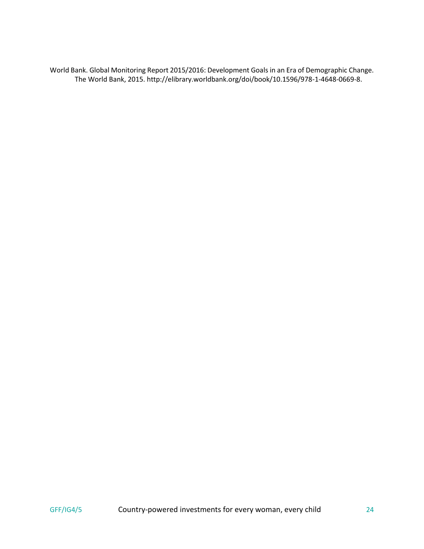World Bank. Global Monitoring Report 2015/2016: Development Goals in an Era of Demographic Change. The World Bank, 2015. http://elibrary.worldbank.org/doi/book/10.1596/978-1-4648-0669-8.